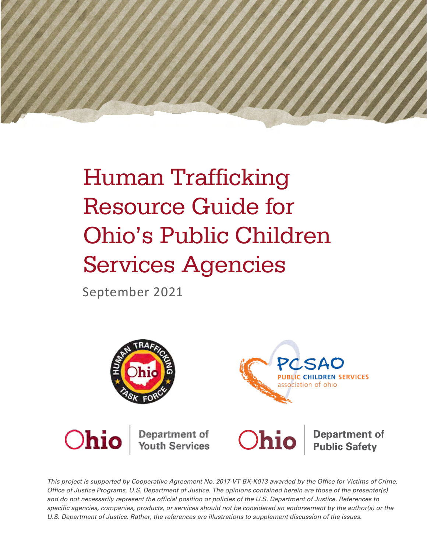

# Human Trafficking Resource Guide for Ohio's Public Children Services Agencies

September 2021



*This project is supported by Cooperative Agreement No. 2017-VT-BX-K013 awarded by the Office for Victims of Crime, Office of Justice Programs, U.S. Department of Justice. The opinions contained herein are those of the presenter(s) and do not necessarily represent the official position or policies of the U.S. Department of Justice. References to*  specific agencies, companies, products, or services should not be considered an endorsement by the author(s) or the *U.S. Department of Justice. Rather, the references are illustrations to supplement discussion of the issues.*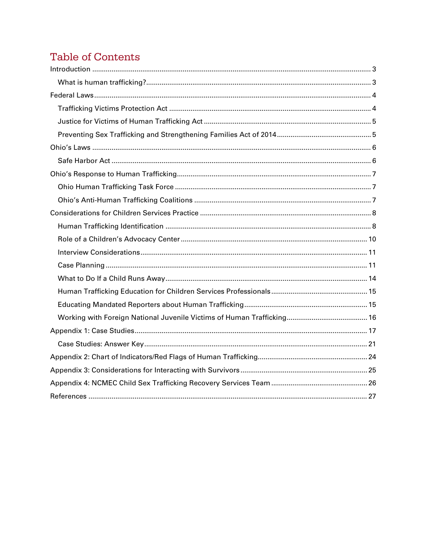### **Table of Contents**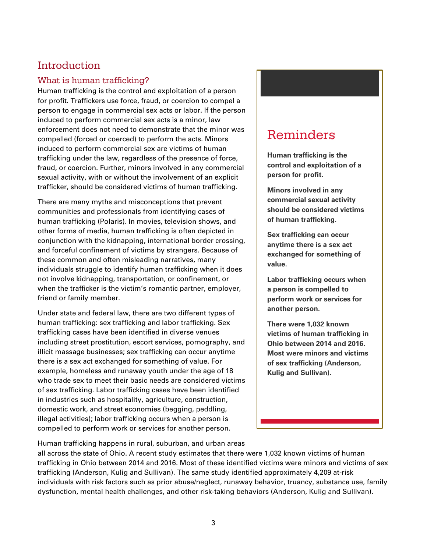### <span id="page-2-0"></span>Introduction

### <span id="page-2-1"></span>What is human trafficking?

Human trafficking is the control and exploitation of a person for profit. Traffickers use force, fraud, or coercion to compel a person to engage in commercial sex acts or labor. If the person induced to perform commercial sex acts is a minor, law enforcement does not need to demonstrate that the minor was compelled (forced or coerced) to perform the acts. Minors induced to perform commercial sex are victims of human trafficking under the law, regardless of the presence of force, fraud, or coercion. Further, minors involved in any commercial sexual activity, with or without the involvement of an explicit trafficker, should be considered victims of human trafficking.

There are many myths and misconceptions that prevent communities and professionals from identifying cases of human trafficking (Polaris). In movies, television shows, and other forms of media, human trafficking is often depicted in conjunction with the kidnapping, international border crossing, and forceful confinement of victims by strangers. Because of these common and often misleading narratives, many individuals struggle to identify human trafficking when it does not involve kidnapping, transportation, or confinement, or when the trafficker is the victim's romantic partner, employer, friend or family member.

Under state and federal law, there are two different types of human trafficking: sex trafficking and labor trafficking. Sex trafficking cases have been identified in diverse venues including street prostitution, escort services, pornography, and illicit massage businesses; sex trafficking can occur anytime there is a sex act exchanged for something of value. For example, homeless and runaway youth under the age of 18 who trade sex to meet their basic needs are considered victims of sex trafficking. Labor trafficking cases have been identified in industries such as hospitality, agriculture, construction, domestic work, and street economies (begging, peddling, illegal activities); labor trafficking occurs when a person is compelled to perform work or services for another person.

## **Reminders**

**Human trafficking is the control and exploitation of a person for profit.**

**Minors involved in any commercial sexual activity should be considered victims of human trafficking.** 

**Sex trafficking can occur anytime there is a sex act exchanged for something of value.**

**Labor trafficking occurs when a person is compelled to perform work or services for another person.**

**There were 1,032 known victims of human trafficking in Ohio between 2014 and 2016. Most were minors and victims of sex trafficking (Anderson, Kulig and Sullivan).**

Human trafficking happens in rural, suburban, and urban areas

all across the state of Ohio. A recent study estimates that there were 1,032 known victims of human trafficking in Ohio between 2014 and 2016. Most of these identified victims were minors and victims of sex trafficking (Anderson, Kulig and Sullivan). The same study identified approximately 4,209 at-risk individuals with risk factors such as prior abuse/neglect, runaway behavior, truancy, substance use, family dysfunction, mental health challenges, and other risk-taking behaviors (Anderson, Kulig and Sullivan).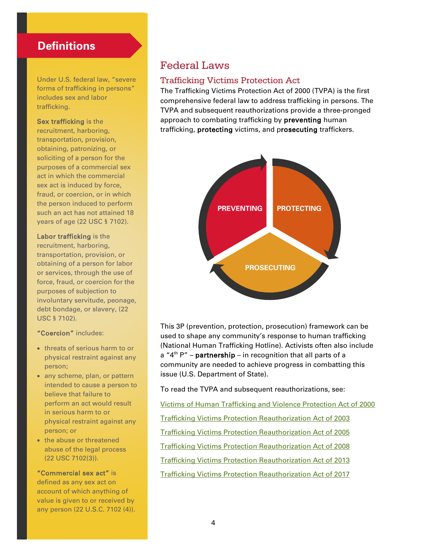### **Definitions**

Under U.S. federal law, "severe forms of trafficking in persons" includes sex and labor trafficking.

Sex trafficking is the recruitment, harboring, transportation, provision, obtaining, patronizing, or soliciting of a person for the purposes of a commercial sex act in which the commercial sex act is induced by force, fraud, or coercion, or in which the person induced to perform such an act has not attained 18 years of age (22 USC § 7102).

Labor trafficking is the recruitment, harboring, transportation, provision, or obtaining of a person for labor or services, through the use of force, fraud, or coercion for the purposes of subjection to involuntary servitude, peonage, debt bondage, or slavery, (22 USC § 7102).

#### "Coercion" includes:

- threats of serious harm to or physical restraint against any person;
- any scheme, plan, or pattern intended to cause a person to believe that failure to perform an act would result in serious harm to or physical restraint against any person; or
- the abuse or threatened abuse of the legal process (22 USC 7102(3)).

"Commercial sex act" is defined as any sex act on account of which anything of value is given to or received by any person (22 U.S.C. 7102 (4)).

### <span id="page-3-0"></span>Federal Laws

#### <span id="page-3-1"></span>Trafficking Victims Protection Act

The Trafficking Victims Protection Act of 2000 (TVPA) is the first comprehensive federal law to address trafficking in persons. The TVPA and subsequent reauthorizations provide a three-pronged approach to combating trafficking by **preventing** human trafficking, protecting victims, and prosecuting traffickers.



This 3P (prevention, protection, prosecution) framework can be used to shape any community's response to human trafficking (National Human Trafficking Hotline). Activists often also include a " $4<sup>th</sup>$  P" – **partnership** – in recognition that all parts of a community are needed to achieve progress in combatting this issue (U.S. Department of State).

To read the TVPA and subsequent reauthorizations, see:

[Victims of Human Trafficking and Violence Protection Act of 2000](https://www.govinfo.gov/content/pkg/PLAW-106publ386/pdf/PLAW-106publ386.pdf) 

[Trafficking Victims Protection Reauthorization Act of 2003](https://www.congress.gov/bill/108th-congress/house-bill/2620)

[Trafficking Victims Protection Reauthorization Act of 2005](https://www.congress.gov/bill/109th-congress/house-bill/972) 

[Trafficking Victims Protection Reauthorization Act of 2008](https://www.congress.gov/110/plaws/publ457/PLAW-110publ457.pdf) 

[Trafficking Victims Protection Reauthorization Act of 2013](http://beta.congress.gov/bill/113th/house-bill/898)

[Trafficking Victims Protection Reauthorization Act of 2017](https://www.congress.gov/bill/115th-congress/senate-bill/1312/text)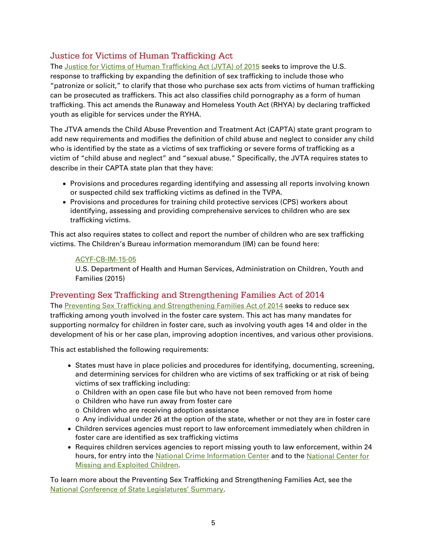### <span id="page-4-0"></span>Justice for Victims of Human Trafficking Act

The [Justice for Victims of Human Trafficking Act \(JVTA\) of 2015](https://www.congress.gov/bill/114th-congress/senate-bill/178) seeks to improve the U.S. response to trafficking by expanding the definition of sex trafficking to include those who "patronize or solicit," to clarify that those who purchase sex acts from victims of human trafficking can be prosecuted as traffickers. This act also classifies child pornography as a form of human trafficking. This act amends the Runaway and Homeless Youth Act (RHYA) by declaring trafficked youth as eligible for services under the RYHA.

The JTVA amends the Child Abuse Prevention and Treatment Act (CAPTA) state grant program to add new requirements and modifies the definition of child abuse and neglect to consider any child who is identified by the state as a victims of sex trafficking or severe forms of trafficking as a victim of "child abuse and neglect" and "sexual abuse." Specifically, the JVTA requires states to describe in their CAPTA state plan that they have:

- Provisions and procedures regarding identifying and assessing all reports involving known or suspected child sex trafficking victims as defined in the TVPA.
- Provisions and procedures for training child protective services (CPS) workers about identifying, assessing and providing comprehensive services to children who are sex trafficking victims.

This act also requires states to collect and report the number of children who are sex trafficking victims. The Children's Bureau information memorandum (IM) can be found here:

#### [ACYF-CB-IM-15-05](http://www.acf.hhs.gov/programs/cb/resource/im1505)

U.S. Department of Health and Human Services, Administration on Children, Youth and Families (2015)

### <span id="page-4-1"></span>Preventing Sex Trafficking and Strengthening Families Act of 2014

The [Preventing Sex Trafficking and Strengthening Families Act of 2014](https://www.congress.gov/bill/113th-congress/house-bill/4980) seeks to reduce sex trafficking among youth involved in the foster care system. This act has many mandates for supporting normalcy for children in foster care, such as involving youth ages 14 and older in the development of his or her case plan, improving adoption incentives, and various other provisions.

This act established the following requirements:

- States must have in place policies and procedures for identifying, documenting, screening, and determining services for children who are victims of sex trafficking or at risk of being victims of sex trafficking including:
	- o Children with an open case file but who have not been removed from home
	- o Children who have run away from foster care
	- o Children who are receiving adoption assistance
	- o Any individual under 26 at the option of the state, whether or not they are in foster care
- Children services agencies must report to law enforcement immediately when children in foster care are identified as sex trafficking victims
- Requires children services agencies to report missing youth to law enforcement, within 24 hours, for entry into the [National Crime Information Center](https://www.fbi.gov/services/cjis/ncic) and to the National Center for [Missing and Exploited Children.](http://www.missingkids.com/home)

To learn more about the Preventing Sex Trafficking and Strengthening Families Act, see the [National Conference of State Legislatures' Summary.](http://www.ncsl.org/research/human-services/preventing-sex-trafficking-and-strengthening-families-act-of-2014.aspx)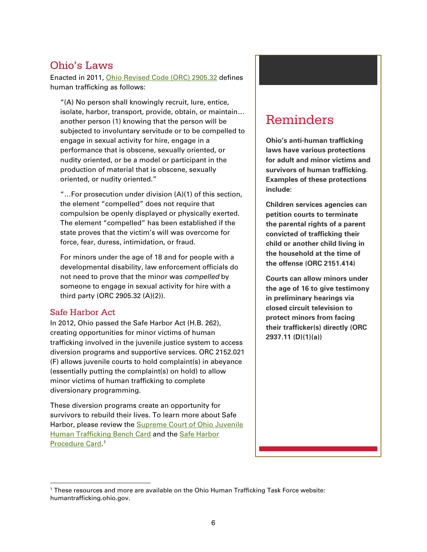### <span id="page-5-0"></span>Ohio's Laws

Enacted in 2011, [Ohio Revised Code](http://codes.ohio.gov/orc/2905.32) (ORC) 2905.32 defines human trafficking as follows:

"(A) No person shall knowingly recruit, lure, entice, isolate, harbor, transport, provide, obtain, or maintain… another person (1) knowing that the person will be subjected to involuntary servitude or to be compelled to engage in sexual activity for hire, engage in a performance that is obscene, sexually oriented, or nudity oriented, or be a model or participant in the production of material that is obscene, sexually oriented, or nudity oriented."

"…For prosecution under division (A)(1) of this section, the element "compelled" does not require that compulsion be openly displayed or physically exerted. The element "compelled" has been established if the state proves that the victim's will was overcome for force, fear, duress, intimidation, or fraud.

For minors under the age of 18 and for people with a developmental disability, law enforcement officials do not need to prove that the minor was *compelled* by someone to engage in sexual activity for hire with a third party (ORC 2905.32 (A)(2)).

#### <span id="page-5-1"></span>Safe Harbor Act

-

In 2012, Ohio passed the Safe Harbor Act (H.B. 262), creating opportunities for minor victims of human trafficking involved in the juvenile justice system to access diversion programs and supportive services. ORC 2152.021 (F) allows juvenile courts to hold complaint(s) in abeyance (essentially putting the complaint(s) on hold) to allow minor victims of human trafficking to complete diversionary programming.

These diversion programs create an opportunity for survivors to rebuild their lives. To learn more about Safe Harbor, please review the **Supreme Court of Ohio Juvenile** [Human Trafficking Bench Card](http://www.supremecourt.ohio.gov/JCS/CFC/resources/juvenileHumanTrafficking.pdf) and the [Safe Harbor](https://humantrafficking.ohio.gov/links/SafeHarborProcedureResourceCard.pdf)  [Procedure Card.](https://humantrafficking.ohio.gov/links/SafeHarborProcedureResourceCard.pdf)<sup>[1](#page-5-2)</sup>

# Reminders

**Ohio's anti-human trafficking laws have various protections for adult and minor victims and survivors of human trafficking. Examples of these protections include:** 

**Children services agencies can petition courts to terminate the parental rights of a parent convicted of trafficking their child or another child living in the household at the time of the offense (ORC 2151.414)**

**Courts can allow minors under the age of 16 to give testimony in preliminary hearings via closed circuit television to protect minors from facing their trafficker(s) directly (ORC 2937.11 (D)(1)(a))**

<span id="page-5-2"></span><sup>1</sup> These resources and more are available on the Ohio Human Trafficking Task Force website: humantrafficking.ohio.gov.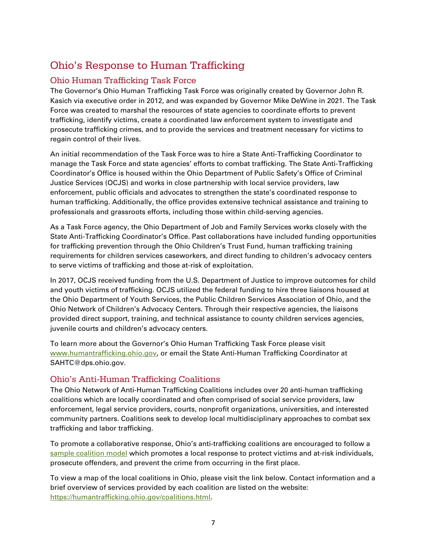### <span id="page-6-0"></span>Ohio's Response to Human Trafficking

### <span id="page-6-1"></span>Ohio Human Trafficking Task Force

The Governor's Ohio Human Trafficking Task Force was originally created by Governor John R. Kasich via executive order in 2012, and was expanded by Governor Mike DeWine in 2021. The Task Force was created to marshal the resources of state agencies to coordinate efforts to prevent trafficking, identify victims, create a coordinated law enforcement system to investigate and prosecute trafficking crimes, and to provide the services and treatment necessary for victims to regain control of their lives.

An initial recommendation of the Task Force was to hire a State Anti-Trafficking Coordinator to manage the Task Force and state agencies' efforts to combat trafficking. The State Anti-Trafficking Coordinator's Office is housed within the Ohio Department of Public Safety's Office of Criminal Justice Services (OCJS) and works in close partnership with local service providers, law enforcement, public officials and advocates to strengthen the state's coordinated response to human trafficking. Additionally, the office provides extensive technical assistance and training to professionals and grassroots efforts, including those within child-serving agencies.

As a Task Force agency, the Ohio Department of Job and Family Services works closely with the State Anti-Trafficking Coordinator's Office. Past collaborations have included funding opportunities for trafficking prevention through the Ohio Children's Trust Fund, human trafficking training requirements for children services caseworkers, and direct funding to children's advocacy centers to serve victims of trafficking and those at-risk of exploitation.

In 2017, OCJS received funding from the U.S. Department of Justice to improve outcomes for child and youth victims of trafficking. OCJS utilized the federal funding to hire three liaisons housed at the Ohio Department of Youth Services, the Public Children Services Association of Ohio, and the Ohio Network of Children's Advocacy Centers. Through their respective agencies, the liaisons provided direct support, training, and technical assistance to county children services agencies, juvenile courts and children's advocacy centers.

To learn more about the Governor's Ohio Human Trafficking Task Force please visit [www.humantrafficking.ohio.gov,](http://www.humantrafficking.ohio.gov/) or email the State Anti-Human Trafficking Coordinator at SAHTC@dps.ohio.gov.

### <span id="page-6-2"></span>Ohio's Anti-Human Trafficking Coalitions

The Ohio Network of Anti-Human Trafficking Coalitions includes over 20 anti-human trafficking coalitions which are locally coordinated and often comprised of social service providers, law enforcement, legal service providers, courts, nonprofit organizations, universities, and interested community partners. Coalitions seek to develop local multidisciplinary approaches to combat sex trafficking and labor trafficking.

To promote a collaborative response, Ohio's anti-trafficking coalitions are encouraged to follow a [sample coalition model](https://humantrafficking.ohio.gov/links/Ohios_Coalition_Model_January_2015.pdf) which promotes a local response to protect victims and at-risk individuals, prosecute offenders, and prevent the crime from occurring in the first place.

To view a map of the local coalitions in Ohio, please visit the link below. Contact information and a brief overview of services provided by each coalition are listed on the website: [https://humantrafficking.ohio.gov/coalitions.html.](https://humantrafficking.ohio.gov/coalitions.html)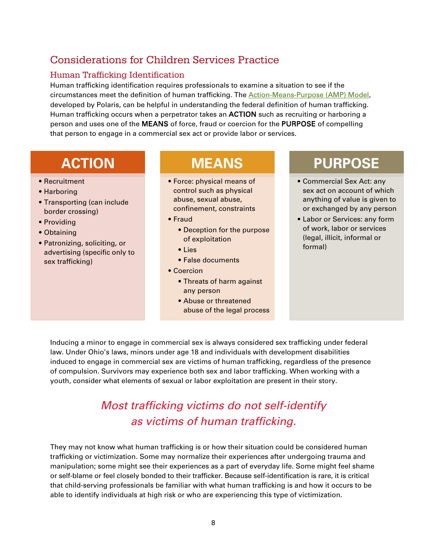### <span id="page-7-0"></span>Considerations for Children Services Practice

### <span id="page-7-1"></span>Human Trafficking Identification

Human trafficking identification requires professionals to examine a situation to see if the circumstances meet the definition of human trafficking. The [Action-Means-Purpose \(AMP\) Model,](https://polarisproject.org/how-human-trafficking-happens/#:%7E:text=Action%2DMeans%2DPurpose&text=Human%20trafficking%20occurs%20when%20a,acts%20or%20labor%20or%20services.) developed by Polaris, can be helpful in understanding the federal definition of human trafficking. Human trafficking occurs when a perpetrator takes an ACTION such as recruiting or harboring a person and uses one of the MEANS of force, fraud or coercion for the PURPOSE of compelling that person to engage in a commercial sex act or provide labor or services.

# **ACTION**

- Recruitment
- Harboring
- Transporting (can include border crossing)
- Providing
- Obtaining
- Patronizing, soliciting, or advertising (specific only to sex trafficking)

# **MEANS**

- Force: physical means of control such as physical abuse, sexual abuse, confinement, constraints
- Fraud
	- Deception for the purpose of exploitation
	- Lies
	- False documents
- Coercion
	- Threats of harm against any person
	- Abuse or threatened abuse of the legal process

# **PURPOSE**

- Commercial Sex Act: any sex act on account of which anything of value is given to or exchanged by any person
- Labor or Services: any form of work, labor or services (legal, illicit, informal or formal)

Inducing a minor to engage in commercial sex is always considered sex trafficking under federal law. Under Ohio's laws, minors under age 18 and individuals with development disabilities induced to engage in commercial sex are victims of human trafficking, regardless of the presence of compulsion. Survivors may experience both sex and labor trafficking. When working with a youth, consider what elements of sexual or labor exploitation are present in their story.

# *Most trafficking victims do not self-identify as victims of human trafficking.*

They may not know what human trafficking is or how their situation could be considered human trafficking or victimization. Some may normalize their experiences after undergoing trauma and manipulation; some might see their experiences as a part of everyday life. Some might feel shame or self-blame or feel closely bonded to their trafficker. Because self-identification is rare, it is critical that child-serving professionals be familiar with what human trafficking is and how it occurs to be able to identify individuals at high risk or who are experiencing this type of victimization.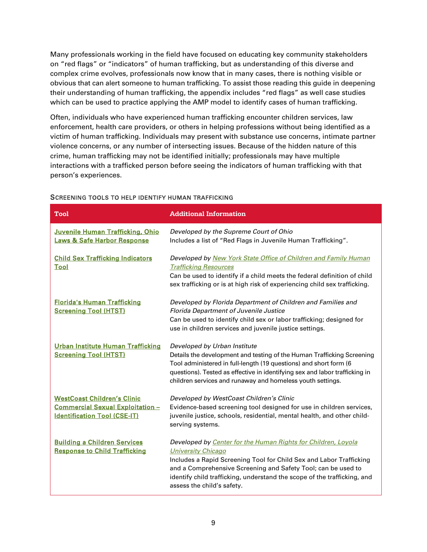Many professionals working in the field have focused on educating key community stakeholders on "red flags" or "indicators" of human trafficking, but as understanding of this diverse and complex crime evolves, professionals now know that in many cases, there is nothing visible or obvious that can alert someone to human trafficking. To assist those reading this guide in deepening their understanding of human trafficking, the appendix includes "red flags" as well case studies which can be used to practice applying the AMP model to identify cases of human trafficking.

Often, individuals who have experienced human trafficking encounter children services, law enforcement, health care providers, or others in helping professions without being identified as a victim of human trafficking. Individuals may present with substance use concerns, intimate partner violence concerns, or any number of intersecting issues. Because of the hidden nature of this crime, human trafficking may not be identified initially; professionals may have multiple interactions with a trafficked person before seeing the indicators of human trafficking with that person's experiences.

| <b>Tool</b>                                                                                                   | <b>Additional Information</b>                                                                                                                                                                                                                                                                                                                |
|---------------------------------------------------------------------------------------------------------------|----------------------------------------------------------------------------------------------------------------------------------------------------------------------------------------------------------------------------------------------------------------------------------------------------------------------------------------------|
| Juvenile Human Trafficking, Ohio<br><b>Laws &amp; Safe Harbor Response</b>                                    | Developed by the Supreme Court of Ohio<br>Includes a list of "Red Flags in Juvenile Human Trafficking".                                                                                                                                                                                                                                      |
| <b>Child Sex Trafficking Indicators</b><br><u>Tool</u>                                                        | Developed by New York State Office of Children and Family Human<br><b>Trafficking Resources</b><br>Can be used to identify if a child meets the federal definition of child<br>sex trafficking or is at high risk of experiencing child sex trafficking.                                                                                     |
| <b>Florida's Human Trafficking</b><br><b>Screening Tool (HTST)</b>                                            | Developed by Florida Department of Children and Families and<br><b>Florida Department of Juvenile Justice</b><br>Can be used to identify child sex or labor trafficking; designed for<br>use in children services and juvenile justice settings.                                                                                             |
| Urban Institute Human Trafficking<br><b>Screening Tool (HTST)</b>                                             | Developed by Urban Institute<br>Details the development and testing of the Human Trafficking Screening<br>Tool administered in full-length (19 questions) and short form (6<br>questions). Tested as effective in identifying sex and labor trafficking in<br>children services and runaway and homeless youth settings.                     |
| <b>WestCoast Children's Clinic</b><br>Commercial Sexual Exploitation -<br><b>Identification Tool (CSE-IT)</b> | Developed by WestCoast Children's Clinic<br>Evidence-based screening tool designed for use in children services,<br>juvenile justice, schools, residential, mental health, and other child-<br>serving systems.                                                                                                                              |
| <b>Building a Children Services</b><br><b>Response to Child Trafficking</b>                                   | Developed by Center for the Human Rights for Children, Loyola<br><b>University Chicago</b><br>Includes a Rapid Screening Tool for Child Sex and Labor Trafficking<br>and a Comprehensive Screening and Safety Tool; can be used to<br>identify child trafficking, understand the scope of the trafficking, and<br>assess the child's safety. |

#### SCREENING TOOLS TO HELP IDENTIFY HUMAN TRAFFICKING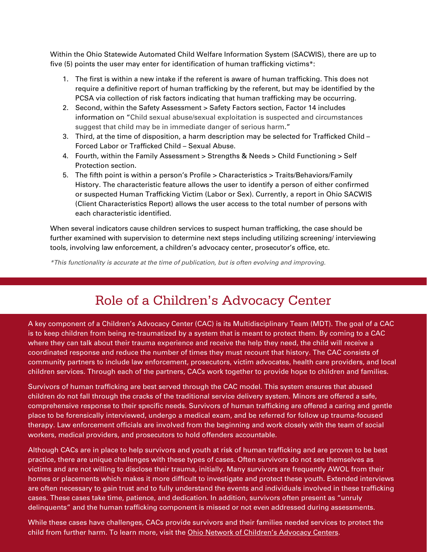Within the Ohio Statewide Automated Child Welfare Information System (SACWIS), there are up to five (5) points the user may enter for identification of human trafficking victims\*:

- 1. The first is within a new intake if the referent is aware of human trafficking. This does not require a definitive report of human trafficking by the referent, but may be identified by the PCSA via collection of risk factors indicating that human trafficking may be occurring.
- 2. Second, within the Safety Assessment > Safety Factors section, Factor 14 includes information on "Child sexual abuse/sexual exploitation is suspected and circumstances suggest that child may be in immediate danger of serious harm."
- 3. Third, at the time of disposition, a harm description may be selected for Trafficked Child Forced Labor or Trafficked Child – Sexual Abuse.
- 4. Fourth, within the Family Assessment > Strengths & Needs > Child Functioning > Self Protection section.
- 5. The fifth point is within a person's Profile > Characteristics > Traits/Behaviors/Family History. The characteristic feature allows the user to identify a person of either confirmed or suspected Human Trafficking Victim (Labor or Sex). Currently, a report in Ohio SACWIS (Client Characteristics Report) allows the user access to the total number of persons with each characteristic identified.

When several indicators cause children services to suspect human trafficking, the case should be further examined with supervision to determine next steps including utilizing screening/ interviewing tools, involving law enforcement, a children's advocacy center, prosecutor's office, etc.

*\*This functionality is accurate at the time of publication, but is often evolving and improving.*

# Role of a Children's Advocacy Center

A key component of a Children's Advocacy Center (CAC) is its Multidisciplinary Team (MDT). The goal of a CAC is to keep children from being re-traumatized by a system that is meant to protect them. By coming to a CAC where they can talk about their trauma experience and receive the help they need, the child will receive a coordinated response and reduce the number of times they must recount that history. The CAC consists of community partners to include law enforcement, prosecutors, victim advocates, health care providers, and local children services. Through each of the partners, CACs work together to provide hope to children and families.

Survivors of human trafficking are best served through the CAC model. This system ensures that abused children do not fall through the cracks of the traditional service delivery system. Minors are offered a safe, comprehensive response to their specific needs. Survivors of human trafficking are offered a caring and gentle place to be forensically interviewed, undergo a medical exam, and be referred for follow up trauma-focused therapy. Law enforcement officials are involved from the beginning and work closely with the team of social workers, medical providers, and prosecutors to hold offenders accountable.

Although CACs are in place to help survivors and youth at risk of human trafficking and are proven to be best practice, there are unique challenges with these types of cases. Often survivors do not see themselves as victims and are not willing to disclose their trauma, initially. Many survivors are frequently AWOL from their homes or placements which makes it more difficult to investigate and protect these youth. Extended interviews are often necessary to gain trust and to fully understand the events and individuals involved in these trafficking cases. These cases take time, patience, and dedication. In addition, survivors often present as "unruly delinquents" and the human trafficking component is missed or not even addressed during assessments.

10 While these cases have challenges, CACs provide survivors and their families needed services to protect the child from further harm. To learn more, visit the [Ohio Network of Children's Advocacy Centers.](http://www.oncac.org/)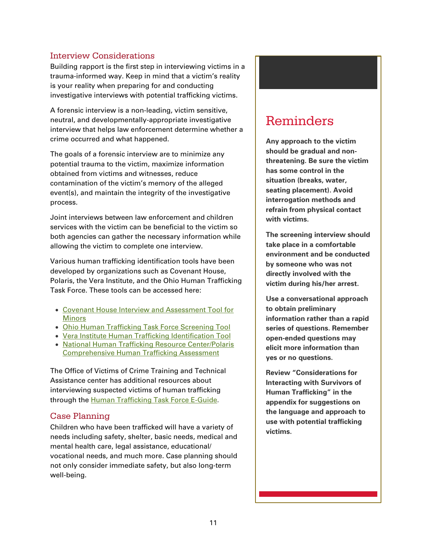### <span id="page-10-0"></span>Interview Considerations

Building rapport is the first step in interviewing victims in a trauma-informed way. Keep in mind that a victim's reality is your reality when preparing for and conducting investigative interviews with potential trafficking victims.

A forensic interview is a non-leading, victim sensitive, neutral, and developmentally-appropriate investigative interview that helps law enforcement determine whether a crime occurred and what happened.

The goals of a forensic interview are to minimize any potential trauma to the victim, maximize information obtained from victims and witnesses, reduce contamination of the victim's memory of the alleged event(s), and maintain the integrity of the investigative process.

Joint interviews between law enforcement and children services with the victim can be beneficial to the victim so both agencies can gather the necessary information while allowing the victim to complete one interview.

Various human trafficking identification tools have been developed by organizations such as Covenant House, Polaris, the Vera Institute, and the Ohio Human Trafficking Task Force. These tools can be accessed here:

- [Covenant House Interview and Assessment Tool for](https://humantraffickinghotline.org/sites/default/files/Homelessness%2C%20Survival%20Sex%2C%20and%20Human%20Trafficking%20-%20Covenant%20House%20NY.pdf)  [Minors](https://humantraffickinghotline.org/sites/default/files/Homelessness%2C%20Survival%20Sex%2C%20and%20Human%20Trafficking%20-%20Covenant%20House%20NY.pdf)
- [Ohio Human Trafficking Task Force Screening Tool](https://humantrafficking.ohio.gov/links/Screening-Tool.pdf)
- [Vera Institute Human Trafficking Identification Tool](http://www.vera.org/pubs/special/human-trafficking-identification-tool)
- [National Human Trafficking Resource Center/Polaris](https://humantraffickinghotline.org/resources/comprehensive-human-trafficking-assessment-tool)  [Comprehensive Human Trafficking Assessment](https://humantraffickinghotline.org/resources/comprehensive-human-trafficking-assessment-tool)

The Office of Victims of Crime Training and Technical Assistance center has additional resources about interviewing suspected victims of human trafficking through the [Human Trafficking Task Force E-Guide.](https://www.ovcttac.gov/taskforceguide/eguide/)

### <span id="page-10-1"></span>Case Planning

Children who have been trafficked will have a variety of needs including safety, shelter, basic needs, medical and mental health care, legal assistance, educational/ vocational needs, and much more. Case planning should not only consider immediate safety, but also long-term well-being.

# Reminders

**Any approach to the victim should be gradual and nonthreatening. Be sure the victim has some control in the situation (breaks, water, seating placement). Avoid interrogation methods and refrain from physical contact with victims.**

**The screening interview should take place in a comfortable environment and be conducted by someone who was not directly involved with the victim during his/her arrest.**

**Use a conversational approach to obtain preliminary information rather than a rapid series of questions. Remember open-ended questions may elicit more information than yes or no questions.**

**Review "Considerations for Interacting with Survivors of Human Trafficking" in the appendix for suggestions on the language and approach to use with potential trafficking victims.**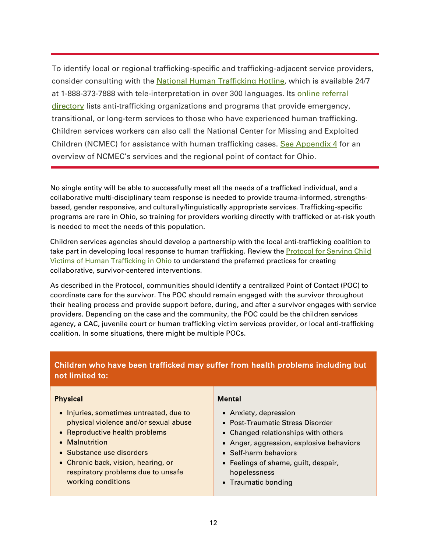To identify local or regional trafficking-specific and trafficking-adjacent service providers, consider consulting with the [National Human Trafficking Hotline,](https://humantraffickinghotline.org/) which is available 24/7 at 1-888-373-7888 with tele-interpretation in over 300 languages. Its [online referral](https://humantraffickinghotline.org/training-resources/referral-directory)  [directory](https://humantraffickinghotline.org/training-resources/referral-directory) lists anti-trafficking organizations and programs that provide emergency, transitional, or long-term services to those who have experienced human trafficking. Children services workers can also call the National Center for Missing and Exploited Children (NCMEC) for assistance with human trafficking cases. [See Appendix 4](#page-25-0) for an overview of NCMEC's services and the regional point of contact for Ohio.

No single entity will be able to successfully meet all the needs of a trafficked individual, and a collaborative multi-disciplinary team response is needed to provide trauma-informed, strengthsbased, gender responsive, and culturally/linguistically appropriate services. Trafficking-specific programs are rare in Ohio, so training for providers working directly with trafficked or at-risk youth is needed to meet the needs of this population.

Children services agencies should develop a partnership with the local anti-trafficking coalition to take part in developing local response to human trafficking. Review the **Protocol for Serving Child** [Victims of Human Trafficking in Ohio](https://humantrafficking.ohio.gov/links/HT-Child-Protocol.pdf)</u> to understand the preferred practices for creating collaborative, survivor-centered interventions.

As described in the Protocol, communities should identify a centralized Point of Contact (POC) to coordinate care for the survivor. The POC should remain engaged with the survivor throughout their healing process and provide support before, during, and after a survivor engages with service providers. Depending on the case and the community, the POC could be the children services agency, a CAC, juvenile court or human trafficking victim services provider, or local anti-trafficking coalition. In some situations, there might be multiple POCs.

### Children who have been trafficked may suffer from health problems including but not limited to:

#### Physical

- Injuries, sometimes untreated, due to physical violence and/or sexual abuse
- Reproductive health problems
- Malnutrition
- Substance use disorders
- Chronic back, vision, hearing, or respiratory problems due to unsafe working conditions

#### **Mental**

- Anxiety, depression
- Post-Traumatic Stress Disorder
- Changed relationships with others
- Anger, aggression, explosive behaviors
- Self-harm behaviors
- Feelings of shame, guilt, despair, hopelessness
- Traumatic bonding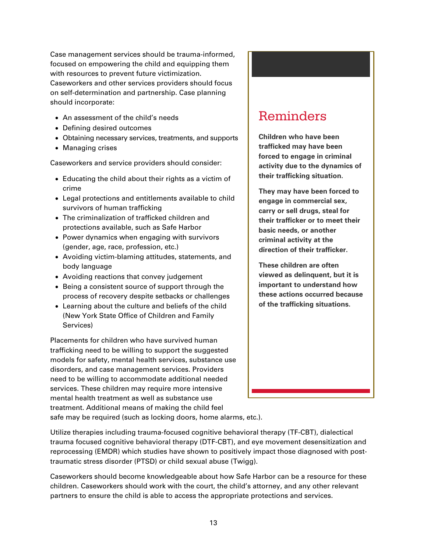Case management services should be trauma-informed, focused on empowering the child and equipping them with resources to prevent future victimization. Caseworkers and other services providers should focus on self-determination and partnership. Case planning should incorporate:

- An assessment of the child's needs
- Defining desired outcomes
- Obtaining necessary services, treatments, and supports
- Managing crises

Caseworkers and service providers should consider:

- Educating the child about their rights as a victim of crime
- Legal protections and entitlements available to child survivors of human trafficking
- The criminalization of trafficked children and protections available, such as Safe Harbor
- Power dynamics when engaging with survivors (gender, age, race, profession, etc.)
- Avoiding victim-blaming attitudes, statements, and body language
- Avoiding reactions that convey judgement
- Being a consistent source of support through the process of recovery despite setbacks or challenges
- Learning about the culture and beliefs of the child (New York State Office of Children and Family Services)

Placements for children who have survived human trafficking need to be willing to support the suggested models for safety, mental health services, substance use disorders, and case management services. Providers need to be willing to accommodate additional needed services. These children may require more intensive mental health treatment as well as substance use treatment. Additional means of making the child feel

# Reminders

**Children who have been trafficked may have been forced to engage in criminal activity due to the dynamics of their trafficking situation.**

**They may have been forced to engage in commercial sex, carry or sell drugs, steal for their trafficker or to meet their basic needs, or another criminal activity at the direction of their trafficker.**

**These children are often viewed as delinquent, but it is important to understand how these actions occurred because of the trafficking situations.**

safe may be required (such as locking doors, home alarms, etc.).

Utilize therapies including trauma-focused cognitive behavioral therapy (TF-CBT), dialectical trauma focused cognitive behavioral therapy (DTF-CBT), and eye movement desensitization and reprocessing (EMDR) which studies have shown to positively impact those diagnosed with posttraumatic stress disorder (PTSD) or child sexual abuse (Twigg).

Caseworkers should become knowledgeable about how Safe Harbor can be a resource for these children. Caseworkers should work with the court, the child's attorney, and any other relevant partners to ensure the child is able to access the appropriate protections and services.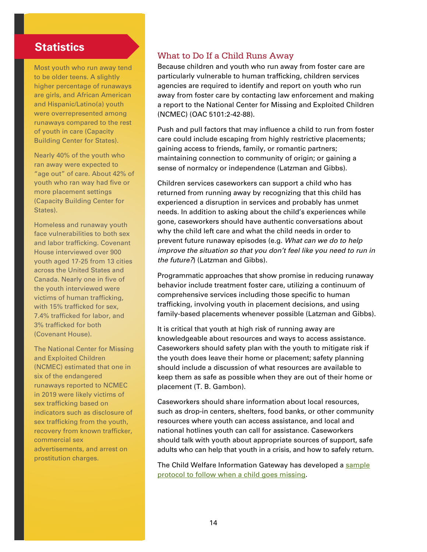### **Statistics**

Most youth who run away tend to be older teens. A slightly higher percentage of runaways are girls, and African American and Hispanic/Latino(a) youth were overrepresented among runaways compared to the rest of youth in care (Capacity Building Center for States).

Nearly 40% of the youth who ran away were expected to "age out" of care. About 42% of youth who ran way had five or more placement settings (Capacity Building Center for States).

Homeless and runaway youth face vulnerabilities to both sex and labor trafficking. Covenant House interviewed over 900 youth aged 17-25 from 13 cities across the United States and Canada. Nearly one in five of the youth interviewed were victims of human trafficking, with 15% trafficked for sex, 7.4% trafficked for labor, and 3% trafficked for both (Covenant House).

The National Center for Missing and Exploited Children (NCMEC) estimated that one in six of the endangered runaways reported to NCMEC in 2019 were likely victims of sex trafficking based on indicators such as disclosure of sex trafficking from the youth, recovery from known trafficker, commercial sex advertisements, and arrest on prostitution charges.

### <span id="page-13-0"></span>What to Do If a Child Runs Away

Because children and youth who run away from foster care are particularly vulnerable to human trafficking, children services agencies are required to identify and report on youth who run away from foster care by contacting law enforcement and making a report to the National Center for Missing and Exploited Children (NCMEC) (OAC 5101:2-42-88).

Push and pull factors that may influence a child to run from foster care could include escaping from highly restrictive placements; gaining access to friends, family, or romantic partners; maintaining connection to community of origin; or gaining a sense of normalcy or independence (Latzman and Gibbs).

Children services caseworkers can support a child who has returned from running away by recognizing that this child has experienced a disruption in services and probably has unmet needs. In addition to asking about the child's experiences while gone, caseworkers should have authentic conversations about why the child left care and what the child needs in order to prevent future runaway episodes (e.g. *What can we do to help improve the situation so that you don't feel like you need to run in the future?*) (Latzman and Gibbs).

Programmatic approaches that show promise in reducing runaway behavior include treatment foster care, utilizing a continuum of comprehensive services including those specific to human trafficking, involving youth in placement decisions, and using family-based placements whenever possible (Latzman and Gibbs).

It is critical that youth at high risk of running away are knowledgeable about resources and ways to access assistance. Caseworkers should safety plan with the youth to mitigate risk if the youth does leave their home or placement; safety planning should include a discussion of what resources are available to keep them as safe as possible when they are out of their home or placement (T. B. Gambon).

Caseworkers should share information about local resources, such as drop-in centers, shelters, food banks, or other community resources where youth can access assistance, and local and national hotlines youth can call for assistance. Caseworkers should talk with youth about appropriate sources of support, safe adults who can help that youth in a crisis, and how to safely return.

The Child Welfare Information Gateway has developed a [sample](https://www.childwelfare.gov/pubPDFs/missing_youth.pdf)  [protocol to follow when a child goes missing.](https://www.childwelfare.gov/pubPDFs/missing_youth.pdf)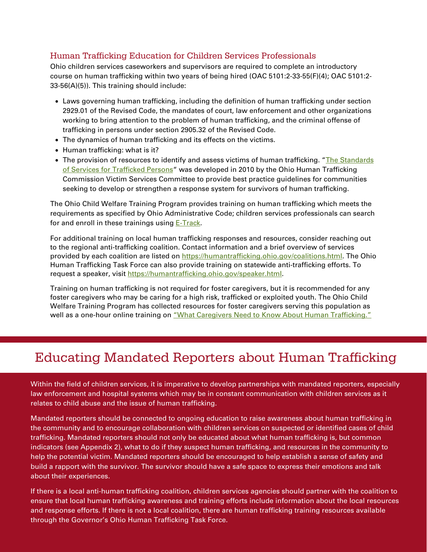### <span id="page-14-0"></span>Human Trafficking Education for Children Services Professionals

Ohio children services caseworkers and supervisors are required to complete an introductory course on human trafficking within two years of being hired (OAC 5101:2-33-55(F)(4); OAC 5101:2- 33-56(A)(5)). This training should include:

- Laws governing human trafficking, including the definition of human trafficking under section 2929.01 of the Revised Code, the mandates of court, law enforcement and other organizations working to bring attention to the problem of human trafficking, and the criminal offense of trafficking in persons under section 2905.32 of the Revised Code.
- The dynamics of human trafficking and its effects on the victims.
- Human trafficking: what is it?
- The provision of resources to identify and assess victims of human trafficking. "The Standards [of Services for Trafficked Persons"](https://humantrafficking.ohio.gov/links/Standards_for_Serving_Trafficked_Persons.pdf) was developed in 2010 by the Ohio Human Trafficking Commission Victim Services Committee to provide best practice guidelines for communities seeking to develop or strengthen a response system for survivors of human trafficking.

The Ohio Child Welfare Training Program provides training on human trafficking which meets the requirements as specified by Ohio Administrative Code; children services professionals can search for and enroll in these trainings using [E-Track.](http://e-track.knowledgeowl.com/help)

For additional training on local human trafficking responses and resources, consider reaching out to the regional anti-trafficking coalition. Contact information and a brief overview of services provided by each coalition are listed on [https://humantrafficking.ohio.gov/coalitions.html.](https://humantrafficking.ohio.gov/coalitions.html) The Ohio Human Trafficking Task Force can also provide training on statewide anti-trafficking efforts. To request a speaker, visit [https://humantrafficking.ohio.gov/speaker.html.](https://humantrafficking.ohio.gov/speaker.html)

Training on human trafficking is not required for foster caregivers, but it is recommended for any foster caregivers who may be caring for a high risk, trafficked or exploited youth. The Ohio Child Welfare Training Program has collected resources for foster caregivers serving this population as well as a one-hour online training on "What Caregivers Need to Know About Human Trafficking."

# Educating Mandated Reporters about Human Trafficking

Within the field of children services, it is imperative to develop partnerships with mandated reporters, especially law enforcement and hospital systems which may be in constant communication with children services as it relates to child abuse and the issue of human trafficking.

Mandated reporters should be connected to ongoing education to raise awareness about human trafficking in the community and to encourage collaboration with children services on suspected or identified cases of child trafficking. Mandated reporters should not only be educated about what human trafficking is, but common indicators (see Appendix 2), what to do if they suspect human trafficking, and resources in the community to help the potential victim. Mandated reporters should be encouraged to help establish a sense of safety and build a rapport with the survivor. The survivor should have a safe space to express their emotions and talk about their experiences.

through the Governor's Ohio Human Trafficking Task Force. If there is a local anti-human trafficking coalition, children services agencies should partner with the coalition to ensure that local human trafficking awareness and training efforts include information about the local resources and response efforts. If there is not a local coalition, there are human trafficking training resources available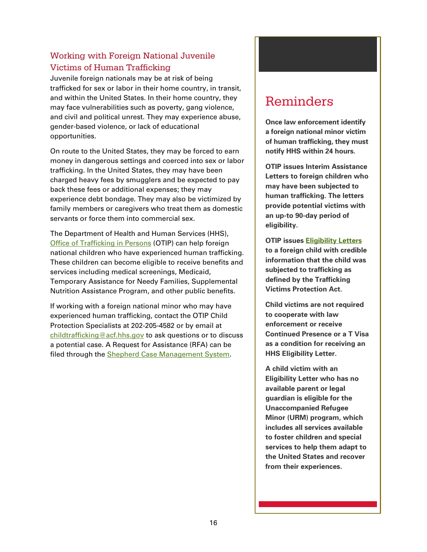### <span id="page-15-0"></span>Working with Foreign National Juvenile Victims of Human Trafficking

Juvenile foreign nationals may be at risk of being trafficked for sex or labor in their home country, in transit, and within the United States. In their home country, they may face vulnerabilities such as poverty, gang violence, and civil and political unrest. They may experience abuse, gender-based violence, or lack of educational opportunities.

On route to the United States, they may be forced to earn money in dangerous settings and coerced into sex or labor trafficking. In the United States, they may have been charged heavy fees by smugglers and be expected to pay back these fees or additional expenses; they may experience debt bondage. They may also be victimized by family members or caregivers who treat them as domestic servants or force them into commercial sex.

The Department of Health and Human Services (HHS), [Office of Trafficking in Persons](https://www.acf.hhs.gov/otip) (OTIP) can help foreign national children who have experienced human trafficking. These children can become eligible to receive benefits and services including medical screenings, Medicaid, Temporary Assistance for Needy Families, Supplemental Nutrition Assistance Program, and other public benefits.

If working with a foreign national minor who may have experienced human trafficking, contact the OTIP Child Protection Specialists at 202-205-4582 or by email at [childtrafficking@acf.hhs.gov](mailto:childtrafficking@acf.hhs.gov) to ask questions or to discuss a potential case. A Request for Assistance (RFA) can be filed through the [Shepherd Case Management System.](https://www.acf.hhs.gov/otip/victim-assistance/shepherd)

# Reminders

**Once law enforcement identify a foreign national minor victim of human trafficking, they must notify HHS within 24 hours.**

**OTIP issues Interim Assistance Letters to foreign children who may have been subjected to human trafficking. The letters provide potential victims with an up-to 90-day period of eligibility.**

**OTIP issues [Eligibility Letters](https://www.acf.hhs.gov/otip/victim-assistance/eligibility-letters) to a foreign child with credible information that the child was subjected to trafficking as defined by the Trafficking Victims Protection Act.** 

**Child victims are not required to cooperate with law enforcement or receive Continued Presence or a T Visa as a condition for receiving an HHS Eligibility Letter.**

**A child victim with an Eligibility Letter who has no available parent or legal guardian is eligible for the Unaccompanied Refugee Minor (URM) program, which includes all services available to foster children and special services to help them adapt to the United States and recover from their experiences.**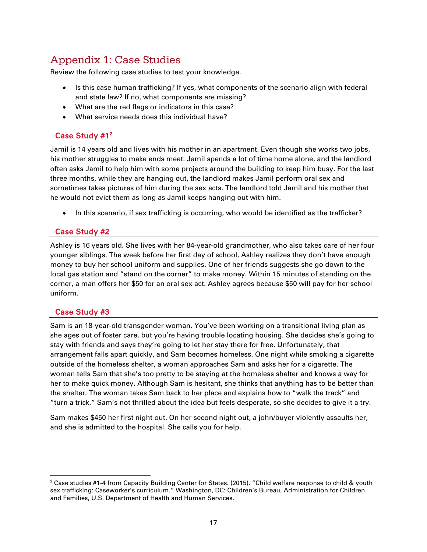### <span id="page-16-0"></span>Appendix 1: Case Studies

Review the following case studies to test your knowledge.

- Is this case human trafficking? If yes, what components of the scenario align with federal and state law? If no, what components are missing?
- What are the red flags or indicators in this case?
- What service needs does this individual have?

### Case Study #1<sup>[2](#page-16-1)</sup>

Jamil is 14 years old and lives with his mother in an apartment. Even though she works two jobs, his mother struggles to make ends meet. Jamil spends a lot of time home alone, and the landlord often asks Jamil to help him with some projects around the building to keep him busy. For the last three months, while they are hanging out, the landlord makes Jamil perform oral sex and sometimes takes pictures of him during the sex acts. The landlord told Jamil and his mother that he would not evict them as long as Jamil keeps hanging out with him.

• In this scenario, if sex trafficking is occurring, who would be identified as the trafficker?

### Case Study #2

Ashley is 16 years old. She lives with her 84-year-old grandmother, who also takes care of her four younger siblings. The week before her first day of school, Ashley realizes they don't have enough money to buy her school uniform and supplies. One of her friends suggests she go down to the local gas station and "stand on the corner" to make money. Within 15 minutes of standing on the corner, a man offers her \$50 for an oral sex act. Ashley agrees because \$50 will pay for her school uniform.

### Case Study #3

Sam is an 18-year-old transgender woman. You've been working on a transitional living plan as she ages out of foster care, but you're having trouble locating housing. She decides she's going to stay with friends and says they're going to let her stay there for free. Unfortunately, that arrangement falls apart quickly, and Sam becomes homeless. One night while smoking a cigarette outside of the homeless shelter, a woman approaches Sam and asks her for a cigarette. The woman tells Sam that she's too pretty to be staying at the homeless shelter and knows a way for her to make quick money. Although Sam is hesitant, she thinks that anything has to be better than the shelter. The woman takes Sam back to her place and explains how to "walk the track" and "turn a trick." Sam's not thrilled about the idea but feels desperate, so she decides to give it a try.

Sam makes \$450 her first night out. On her second night out, a john/buyer violently assaults her, and she is admitted to the hospital. She calls you for help.

<span id="page-16-1"></span><sup>-</sup><sup>2</sup> Case studies #1-4 from Capacity Building Center for States. (2015). "Child welfare response to child & youth sex trafficking: Caseworker's curriculum." Washington, DC: Children's Bureau, Administration for Children and Families, U.S. Department of Health and Human Services.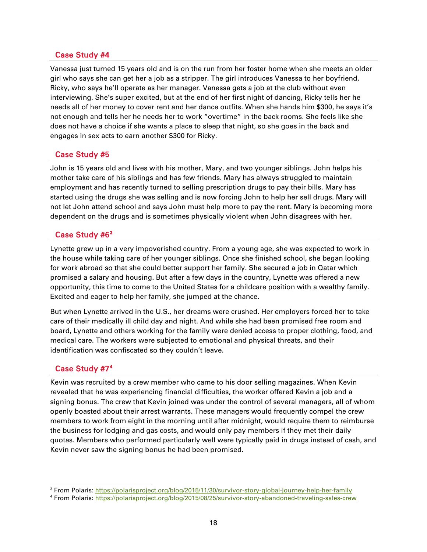### Case Study #4

Vanessa just turned 15 years old and is on the run from her foster home when she meets an older girl who says she can get her a job as a stripper. The girl introduces Vanessa to her boyfriend, Ricky, who says he'll operate as her manager. Vanessa gets a job at the club without even interviewing. She's super excited, but at the end of her first night of dancing, Ricky tells her he needs all of her money to cover rent and her dance outfits. When she hands him \$300, he says it's not enough and tells her he needs her to work "overtime" in the back rooms. She feels like she does not have a choice if she wants a place to sleep that night, so she goes in the back and engages in sex acts to earn another \$300 for Ricky.

#### Case Study #5

John is 15 years old and lives with his mother, Mary, and two younger siblings. John helps his mother take care of his siblings and has few friends. Mary has always struggled to maintain employment and has recently turned to selling prescription drugs to pay their bills. Mary has started using the drugs she was selling and is now forcing John to help her sell drugs. Mary will not let John attend school and says John must help more to pay the rent. Mary is becoming more dependent on the drugs and is sometimes physically violent when John disagrees with her.

### Case Study #6<sup>[3](#page-17-0)</sup>

Lynette grew up in a very impoverished country. From a young age, she was expected to work in the house while taking care of her younger siblings. Once she finished school, she began looking for work abroad so that she could better support her family. She secured a job in Qatar which promised a salary and housing. But after a few days in the country, Lynette was offered a new opportunity, this time to come to the United States for a childcare position with a wealthy family. Excited and eager to help her family, she jumped at the chance.

But when Lynette arrived in the U.S., her dreams were crushed. Her employers forced her to take care of their medically ill child day and night. And while she had been promised free room and board, Lynette and others working for the family were denied access to proper clothing, food, and medical care. The workers were subjected to emotional and physical threats, and their identification was confiscated so they couldn't leave.

### Case Study #7<sup>[4](#page-17-1)</sup>

-

Kevin was recruited by a crew member who came to his door selling magazines. When Kevin revealed that he was experiencing financial difficulties, the worker offered Kevin a job and a signing bonus. The crew that Kevin joined was under the control of several managers, all of whom openly boasted about their arrest warrants. These managers would frequently compel the crew members to work from eight in the morning until after midnight, would require them to reimburse the business for lodging and gas costs, and would only pay members if they met their daily quotas. Members who performed particularly well were typically paid in drugs instead of cash, and Kevin never saw the signing bonus he had been promised.

<span id="page-17-0"></span><sup>&</sup>lt;sup>3</sup> From Polaris[: https://polarisproject.org/blog/2015/11/30/survivor-story-global-journey-help-her-family](https://polarisproject.org/blog/2015/11/30/survivor-story-global-journey-help-her-family)

<span id="page-17-1"></span><sup>4</sup> From Polaris[: https://polarisproject.org/blog/2015/08/25/survivor-story-abandoned-traveling-sales-crew](https://polarisproject.org/blog/2015/08/25/survivor-story-abandoned-traveling-sales-crew)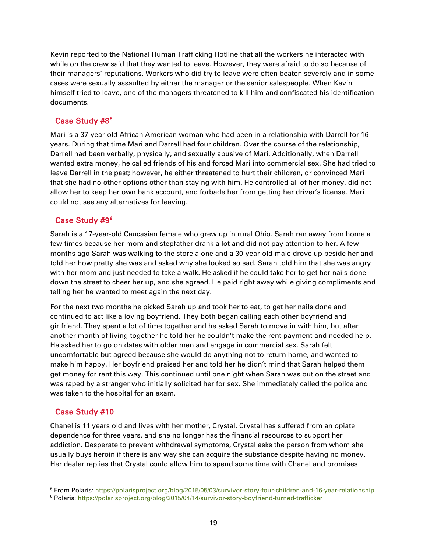Kevin reported to the National Human Trafficking Hotline that all the workers he interacted with while on the crew said that they wanted to leave. However, they were afraid to do so because of their managers' reputations. Workers who did try to leave were often beaten severely and in some cases were sexually assaulted by either the manager or the senior salespeople. When Kevin himself tried to leave, one of the managers threatened to kill him and confiscated his identification documents.

#### Case Study #8<sup>[5](#page-18-0)</sup>

Mari is a 37-year-old African American woman who had been in a relationship with Darrell for 16 years. During that time Mari and Darrell had four children. Over the course of the relationship, Darrell had been verbally, physically, and sexually abusive of Mari. Additionally, when Darrell wanted extra money, he called friends of his and forced Mari into commercial sex. She had tried to leave Darrell in the past; however, he either threatened to hurt their children, or convinced Mari that she had no other options other than staying with him. He controlled all of her money, did not allow her to keep her own bank account, and forbade her from getting her driver's license. Mari could not see any alternatives for leaving.

### Case Study #9<sup>[6](#page-18-1)</sup>

Sarah is a 17-year-old Caucasian female who grew up in rural Ohio. Sarah ran away from home a few times because her mom and stepfather drank a lot and did not pay attention to her. A few months ago Sarah was walking to the store alone and a 30-year-old male drove up beside her and told her how pretty she was and asked why she looked so sad. Sarah told him that she was angry with her mom and just needed to take a walk. He asked if he could take her to get her nails done down the street to cheer her up, and she agreed. He paid right away while giving compliments and telling her he wanted to meet again the next day.

For the next two months he picked Sarah up and took her to eat, to get her nails done and continued to act like a loving boyfriend. They both began calling each other boyfriend and girlfriend. They spent a lot of time together and he asked Sarah to move in with him, but after another month of living together he told her he couldn't make the rent payment and needed help. He asked her to go on dates with older men and engage in commercial sex. Sarah felt uncomfortable but agreed because she would do anything not to return home, and wanted to make him happy. Her boyfriend praised her and told her he didn't mind that Sarah helped them get money for rent this way. This continued until one night when Sarah was out on the street and was raped by a stranger who initially solicited her for sex. She immediately called the police and was taken to the hospital for an exam.

#### Case Study #10

-

Chanel is 11 years old and lives with her mother, Crystal. Crystal has suffered from an opiate dependence for three years, and she no longer has the financial resources to support her addiction. Desperate to prevent withdrawal symptoms, Crystal asks the person from whom she usually buys heroin if there is any way she can acquire the substance despite having no money. Her dealer replies that Crystal could allow him to spend some time with Chanel and promises

<span id="page-18-0"></span><sup>&</sup>lt;sup>5</sup> From Polaris[: https://polarisproject.org/blog/2015/05/03/survivor-story-four-children-and-16-year-relationship](https://polarisproject.org/blog/2015/05/03/survivor-story-four-children-and-16-year-relationship)

<span id="page-18-1"></span><sup>6</sup> Polaris[: https://polarisproject.org/blog/2015/04/14/survivor-story-boyfriend-turned-trafficker](https://polarisproject.org/blog/2015/04/14/survivor-story-boyfriend-turned-trafficker)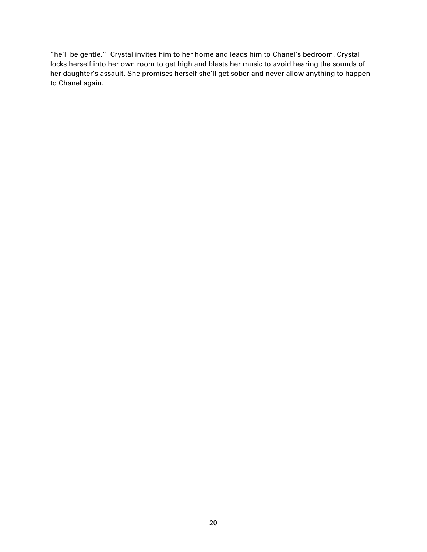"he'll be gentle." Crystal invites him to her home and leads him to Chanel's bedroom. Crystal locks herself into her own room to get high and blasts her music to avoid hearing the sounds of her daughter's assault. She promises herself she'll get sober and never allow anything to happen to Chanel again.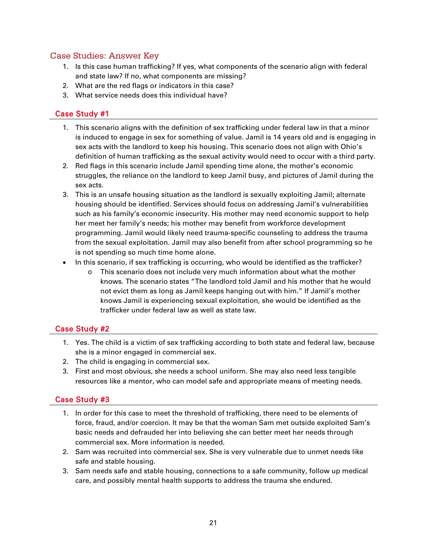### <span id="page-20-0"></span>Case Studies: Answer Key

- 1. Is this case human trafficking? If yes, what components of the scenario align with federal and state law? If no, what components are missing?
- 2. What are the red flags or indicators in this case?
- 3. What service needs does this individual have?

### Case Study #1

- 1. This scenario aligns with the definition of sex trafficking under federal law in that a minor is induced to engage in sex for something of value. Jamil is 14 years old and is engaging in sex acts with the landlord to keep his housing. This scenario does not align with Ohio's definition of human trafficking as the sexual activity would need to occur with a third party.
- 2. Red flags in this scenario include Jamil spending time alone, the mother's economic struggles, the reliance on the landlord to keep Jamil busy, and pictures of Jamil during the sex acts.
- 3. This is an unsafe housing situation as the landlord is sexually exploiting Jamil; alternate housing should be identified. Services should focus on addressing Jamil's vulnerabilities such as his family's economic insecurity. His mother may need economic support to help her meet her family's needs; his mother may benefit from workforce development programming. Jamil would likely need trauma-specific counseling to address the trauma from the sexual exploitation. Jamil may also benefit from after school programming so he is not spending so much time home alone.
- In this scenario, if sex trafficking is occurring, who would be identified as the trafficker?
	- This scenario does not include very much information about what the mother knows. The scenario states "The landlord told Jamil and his mother that he would not evict them as long as Jamil keeps hanging out with him." If Jamil's mother knows Jamil is experiencing sexual exploitation, she would be identified as the trafficker under federal law as well as state law.

#### Case Study #2

- 1. Yes. The child is a victim of sex trafficking according to both state and federal law, because she is a minor engaged in commercial sex.
- 2. The child is engaging in commercial sex.
- 3. First and most obvious, she needs a school uniform. She may also need less tangible resources like a mentor, who can model safe and appropriate means of meeting needs.

### Case Study #3

- 1. In order for this case to meet the threshold of trafficking, there need to be elements of force, fraud, and/or coercion. It may be that the woman Sam met outside exploited Sam's basic needs and defrauded her into believing she can better meet her needs through commercial sex. More information is needed.
- 2. Sam was recruited into commercial sex. She is very vulnerable due to unmet needs like safe and stable housing.
- 3. Sam needs safe and stable housing, connections to a safe community, follow up medical care, and possibly mental health supports to address the trauma she endured.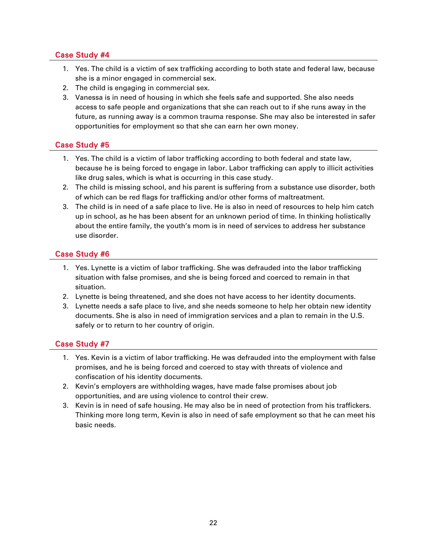### Case Study #4

- 1. Yes. The child is a victim of sex trafficking according to both state and federal law, because she is a minor engaged in commercial sex.
- 2. The child is engaging in commercial sex.
- 3. Vanessa is in need of housing in which she feels safe and supported. She also needs access to safe people and organizations that she can reach out to if she runs away in the future, as running away is a common trauma response. She may also be interested in safer opportunities for employment so that she can earn her own money.

### Case Study #5

- 1. Yes. The child is a victim of labor trafficking according to both federal and state law, because he is being forced to engage in labor. Labor trafficking can apply to illicit activities like drug sales, which is what is occurring in this case study.
- 2. The child is missing school, and his parent is suffering from a substance use disorder, both of which can be red flags for trafficking and/or other forms of maltreatment.
- 3. The child is in need of a safe place to live. He is also in need of resources to help him catch up in school, as he has been absent for an unknown period of time. In thinking holistically about the entire family, the youth's mom is in need of services to address her substance use disorder.

### Case Study #6

- 1. Yes. Lynette is a victim of labor trafficking. She was defrauded into the labor trafficking situation with false promises, and she is being forced and coerced to remain in that situation.
- 2. Lynette is being threatened, and she does not have access to her identity documents.
- 3. Lynette needs a safe place to live, and she needs someone to help her obtain new identity documents. She is also in need of immigration services and a plan to remain in the U.S. safely or to return to her country of origin.

### Case Study #7

- 1. Yes. Kevin is a victim of labor trafficking. He was defrauded into the employment with false promises, and he is being forced and coerced to stay with threats of violence and confiscation of his identity documents.
- 2. Kevin's employers are withholding wages, have made false promises about job opportunities, and are using violence to control their crew.
- 3. Kevin is in need of safe housing. He may also be in need of protection from his traffickers. Thinking more long term, Kevin is also in need of safe employment so that he can meet his basic needs.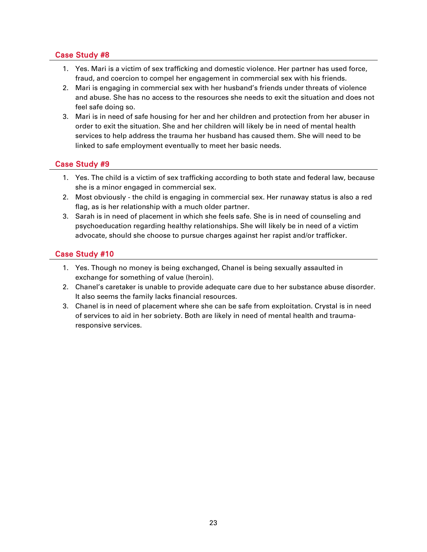### Case Study #8

- 1. Yes. Mari is a victim of sex trafficking and domestic violence. Her partner has used force, fraud, and coercion to compel her engagement in commercial sex with his friends.
- 2. Mari is engaging in commercial sex with her husband's friends under threats of violence and abuse. She has no access to the resources she needs to exit the situation and does not feel safe doing so.
- 3. Mari is in need of safe housing for her and her children and protection from her abuser in order to exit the situation. She and her children will likely be in need of mental health services to help address the trauma her husband has caused them. She will need to be linked to safe employment eventually to meet her basic needs.

### Case Study #9

- 1. Yes. The child is a victim of sex trafficking according to both state and federal law, because she is a minor engaged in commercial sex.
- 2. Most obviously the child is engaging in commercial sex. Her runaway status is also a red flag, as is her relationship with a much older partner.
- 3. Sarah is in need of placement in which she feels safe. She is in need of counseling and psychoeducation regarding healthy relationships. She will likely be in need of a victim advocate, should she choose to pursue charges against her rapist and/or trafficker.

### Case Study #10

- 1. Yes. Though no money is being exchanged, Chanel is being sexually assaulted in exchange for something of value (heroin).
- 2. Chanel's caretaker is unable to provide adequate care due to her substance abuse disorder. It also seems the family lacks financial resources.
- 3. Chanel is in need of placement where she can be safe from exploitation. Crystal is in need of services to aid in her sobriety. Both are likely in need of mental health and traumaresponsive services.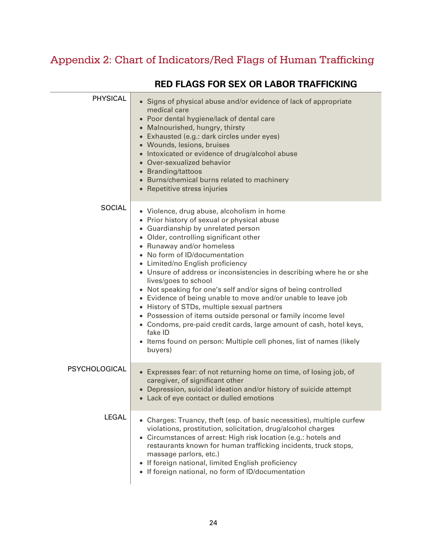# <span id="page-23-0"></span>Appendix 2: Chart of Indicators/Red Flags of Human Trafficking

| <b>PHYSICAL</b> | • Signs of physical abuse and/or evidence of lack of appropriate<br>medical care<br>• Poor dental hygiene/lack of dental care<br>• Malnourished, hungry, thirsty<br>• Exhausted (e.g.: dark circles under eyes)<br>• Wounds, lesions, bruises<br>• Intoxicated or evidence of drug/alcohol abuse<br>• Over-sexualized behavior<br>• Branding/tattoos<br>• Burns/chemical burns related to machinery<br>• Repetitive stress injuries                                                                                                                                                                                                                                                                                                                                                                 |
|-----------------|-----------------------------------------------------------------------------------------------------------------------------------------------------------------------------------------------------------------------------------------------------------------------------------------------------------------------------------------------------------------------------------------------------------------------------------------------------------------------------------------------------------------------------------------------------------------------------------------------------------------------------------------------------------------------------------------------------------------------------------------------------------------------------------------------------|
| <b>SOCIAL</b>   | · Violence, drug abuse, alcoholism in home<br>• Prior history of sexual or physical abuse<br>• Guardianship by unrelated person<br>• Older, controlling significant other<br>• Runaway and/or homeless<br>• No form of ID/documentation<br>• Limited/no English proficiency<br>• Unsure of address or inconsistencies in describing where he or she<br>lives/goes to school<br>• Not speaking for one's self and/or signs of being controlled<br>• Evidence of being unable to move and/or unable to leave job<br>• History of STDs, multiple sexual partners<br>• Possession of items outside personal or family income level<br>• Condoms, pre-paid credit cards, large amount of cash, hotel keys,<br>fake ID<br>• Items found on person: Multiple cell phones, list of names (likely<br>buyers) |
| PSYCHOLOGICAL   | • Expresses fear: of not returning home on time, of losing job, of<br>caregiver, of significant other<br>Depression, suicidal ideation and/or history of suicide attempt<br>• Lack of eye contact or dulled emotions                                                                                                                                                                                                                                                                                                                                                                                                                                                                                                                                                                                |
| <b>LEGAL</b>    | • Charges: Truancy, theft (esp. of basic necessities), multiple curfew<br>violations, prostitution, solicitation, drug/alcohol charges<br>Circumstances of arrest: High risk location (e.g.: hotels and<br>$\bullet$<br>restaurants known for human trafficking incidents, truck stops,<br>massage parlors, etc.)<br>If foreign national, limited English proficiency<br>• If foreign national, no form of ID/documentation                                                                                                                                                                                                                                                                                                                                                                         |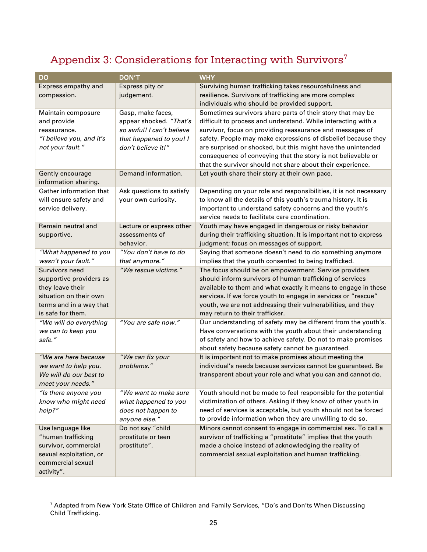### <span id="page-24-0"></span>Appendix 3: Considerations for Interacting with Survivors $^7$  $^7$

| <b>DO</b>                                                                                                                               | <b>DON'T</b>                                                                                                               | <b>WHY</b>                                                                                                                                                                                                                                                                                                                                                                                                                                             |
|-----------------------------------------------------------------------------------------------------------------------------------------|----------------------------------------------------------------------------------------------------------------------------|--------------------------------------------------------------------------------------------------------------------------------------------------------------------------------------------------------------------------------------------------------------------------------------------------------------------------------------------------------------------------------------------------------------------------------------------------------|
| Express empathy and<br>compassion.                                                                                                      | Express pity or<br>judgement.                                                                                              | Surviving human trafficking takes resourcefulness and<br>resilience. Survivors of trafficking are more complex<br>individuals who should be provided support.                                                                                                                                                                                                                                                                                          |
| Maintain composure<br>and provide<br>reassurance.<br>"I believe you, and it's<br>not your fault."                                       | Gasp, make faces,<br>appear shocked. "That's<br>so awful! I can't believe<br>that happened to you! I<br>don't believe it!" | Sometimes survivors share parts of their story that may be<br>difficult to process and understand. While interacting with a<br>survivor, focus on providing reassurance and messages of<br>safety. People may make expressions of disbelief because they<br>are surprised or shocked, but this might have the unintended<br>consequence of conveying that the story is not believable or<br>that the survivor should not share about their experience. |
| Gently encourage<br>information sharing.                                                                                                | Demand information.                                                                                                        | Let youth share their story at their own pace.                                                                                                                                                                                                                                                                                                                                                                                                         |
| Gather information that<br>will ensure safety and<br>service delivery.                                                                  | Ask questions to satisfy<br>your own curiosity.                                                                            | Depending on your role and responsibilities, it is not necessary<br>to know all the details of this youth's trauma history. It is<br>important to understand safety concerns and the youth's<br>service needs to facilitate care coordination.                                                                                                                                                                                                         |
| Remain neutral and<br>supportive.                                                                                                       | Lecture or express other<br>assessments of<br>behavior.                                                                    | Youth may have engaged in dangerous or risky behavior<br>during their trafficking situation. It is important not to express<br>judgment; focus on messages of support.                                                                                                                                                                                                                                                                                 |
| "What happened to you<br>wasn't your fault."                                                                                            | "You don't have to do<br>that anymore."                                                                                    | Saying that someone doesn't need to do something anymore<br>implies that the youth consented to being trafficked.                                                                                                                                                                                                                                                                                                                                      |
| Survivors need<br>supportive providers as<br>they leave their<br>situation on their own<br>terms and in a way that<br>is safe for them. | "We rescue victims."                                                                                                       | The focus should be on empowerment. Service providers<br>should inform survivors of human trafficking of services<br>available to them and what exactly it means to engage in these<br>services. If we force youth to engage in services or "rescue"<br>youth, we are not addressing their vulnerabilities, and they<br>may return to their trafficker.                                                                                                |
| "We will do everything<br>we can to keep you<br>safe."                                                                                  | "You are safe now."                                                                                                        | Our understanding of safety may be different from the youth's.<br>Have conversations with the youth about their understanding<br>of safety and how to achieve safety. Do not to make promises<br>about safety because safety cannot be guaranteed.                                                                                                                                                                                                     |
| "We are here because<br>we want to help you.<br>We will do our best to<br>meet your needs."                                             | "We can fix your<br>problems."                                                                                             | It is important not to make promises about meeting the<br>individual's needs because services cannot be guaranteed. Be<br>transparent about your role and what you can and cannot do.                                                                                                                                                                                                                                                                  |
| "Is there anyone you<br>know who might need<br>help?"                                                                                   | "We want to make sure<br>what happened to you<br>does not happen to<br>anyone else."                                       | Youth should not be made to feel responsible for the potential<br>victimization of others. Asking if they know of other youth in<br>need of services is acceptable, but youth should not be forced<br>to provide information when they are unwilling to do so.                                                                                                                                                                                         |
| Use language like<br>"human trafficking<br>survivor, commercial<br>sexual exploitation, or<br>commercial sexual<br>activity".           | Do not say "child<br>prostitute or teen<br>prostitute".                                                                    | Minors cannot consent to engage in commercial sex. To call a<br>survivor of trafficking a "prostitute" implies that the youth<br>made a choice instead of acknowledging the reality of<br>commercial sexual exploitation and human trafficking.                                                                                                                                                                                                        |

<span id="page-24-1"></span> $^7$  Adapted from New York State Office of Children and Family Services, "Do's and Don'ts When Discussing Child Trafficking.

j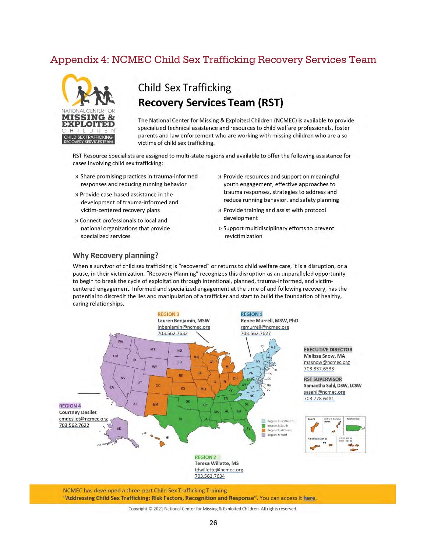### <span id="page-25-0"></span>Appendix 4: NCMEC Child Sex Trafficking Recovery Services Team



### **Child Sex Trafficking Recovery Services Team (RST)**

The National Center for Missing & Exploited Children (NCMEC) is available to provide specialized technical assistance and resources to child welfare professionals, foster parents and law enforcement who are working with missing children who are also victims of child sex trafficking.

RST Resource Specialists are assigned to multi-state regions and available to offer the following assistance for cases involving child sex trafficking:

- » Share promising practices in trauma-informed responses and reducing running behavior
- » Provide case-based assistance in the development of trauma-informed and victim-centered recovery plans
- » Connect professionals to local and national organizations that provide specialized services
- » Provide resources and support on meaningful youth engagement, effective approaches to trauma responses, strategies to address and reduce running behavior, and safety planning
- » Provide training and assist with protocol development
- » Support multidisciplinary efforts to prevent revictimization

#### **Why Recovery planning?**

When a survivor of child sex trafficking is "recovered" or returns to child welfare care, it is a disruption, or a pause, in their victimization. "Recovery Planning" recognizes this disruption as an unparalleled opportunity to begin to break the cycle of exploitation through intentional, planned, trauma-informed, and victimcentered engagement. Informed and specialized engagement at the time of and following recovery, has the potential to discredit the lies and manipulation of a trafficker and start to build the foundation of healthy, caring relationships.



NCMEC has developed a three-part Child Sex Trafficking Training "Addressing Child Sex Trafficking: Risk Factors, Recognition and Response". You can access it here.

Copyright © 2021 National Center for Missing & Exploited Children. All rights reserved.